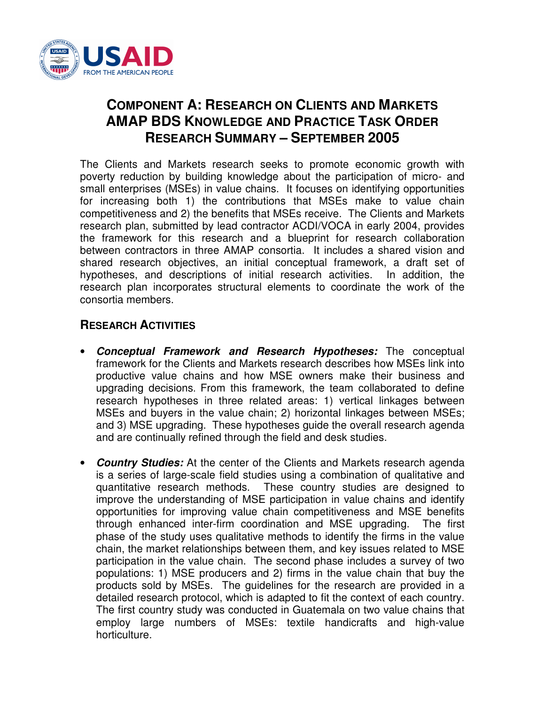

## **COMPONENT A: RESEARCH ON CLIENTS AND MARKETS AMAP BDS KNOWLEDGE AND PRACTICE TASK ORDER RESEARCH SUMMARY – SEPTEMBER 2005**

The Clients and Markets research seeks to promote economic growth with poverty reduction by building knowledge about the participation of micro- and small enterprises (MSEs) in value chains. It focuses on identifying opportunities for increasing both 1) the contributions that MSEs make to value chain competitiveness and 2) the benefits that MSEs receive. The Clients and Markets research plan, submitted by lead contractor ACDI/VOCA in early 2004, provides the framework for this research and a blueprint for research collaboration between contractors in three AMAP consortia. It includes a shared vision and shared research objectives, an initial conceptual framework, a draft set of hypotheses, and descriptions of initial research activities. In addition, the research plan incorporates structural elements to coordinate the work of the consortia members.

## **RESEARCH ACTIVITIES**

- *Conceptual Framework and Research Hypotheses:* The conceptual framework for the Clients and Markets research describes how MSEs link into productive value chains and how MSE owners make their business and upgrading decisions. From this framework, the team collaborated to define research hypotheses in three related areas: 1) vertical linkages between MSEs and buyers in the value chain; 2) horizontal linkages between MSEs; and 3) MSE upgrading. These hypotheses guide the overall research agenda and are continually refined through the field and desk studies.
- *Country Studies:* At the center of the Clients and Markets research agenda is a series of large-scale field studies using a combination of qualitative and quantitative research methods. These country studies are designed to improve the understanding of MSE participation in value chains and identify opportunities for improving value chain competitiveness and MSE benefits through enhanced inter-firm coordination and MSE upgrading. The first phase of the study uses qualitative methods to identify the firms in the value chain, the market relationships between them, and key issues related to MSE participation in the value chain. The second phase includes a survey of two populations: 1) MSE producers and 2) firms in the value chain that buy the products sold by MSEs. The guidelines for the research are provided in a detailed research protocol, which is adapted to fit the context of each country. The first country study was conducted in Guatemala on two value chains that employ large numbers of MSEs: textile handicrafts and high-value horticulture.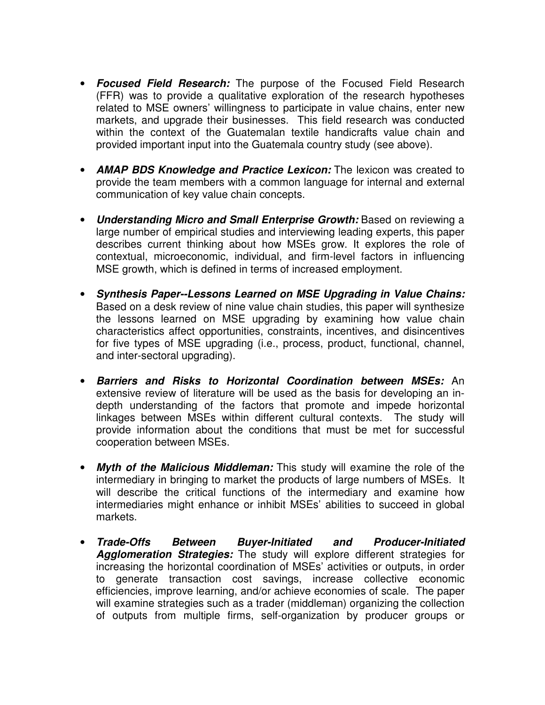- *Focused Field Research:* The purpose of the Focused Field Research (FFR) was to provide a qualitative exploration of the research hypotheses related to MSE owners' willingness to participate in value chains, enter new markets, and upgrade their businesses. This field research was conducted within the context of the Guatemalan textile handicrafts value chain and provided important input into the Guatemala country study (see above).
- *AMAP BDS Knowledge and Practice Lexicon:* The lexicon was created to provide the team members with a common language for internal and external communication of key value chain concepts.
- *Understanding Micro and Small Enterprise Growth:* Based on reviewing a large number of empirical studies and interviewing leading experts, this paper describes current thinking about how MSEs grow. It explores the role of contextual, microeconomic, individual, and firm-level factors in influencing MSE growth, which is defined in terms of increased employment.
- *Synthesis Paper--Lessons Learned on MSE Upgrading in Value Chains:* Based on a desk review of nine value chain studies, this paper will synthesize the lessons learned on MSE upgrading by examining how value chain characteristics affect opportunities, constraints, incentives, and disincentives for five types of MSE upgrading (i.e., process, product, functional, channel, and inter-sectoral upgrading).
- *Barriers and Risks to Horizontal Coordination between MSEs:* An extensive review of literature will be used as the basis for developing an indepth understanding of the factors that promote and impede horizontal linkages between MSEs within different cultural contexts. The study will provide information about the conditions that must be met for successful cooperation between MSEs.
- *Myth of the Malicious Middleman:* This study will examine the role of the intermediary in bringing to market the products of large numbers of MSEs. It will describe the critical functions of the intermediary and examine how intermediaries might enhance or inhibit MSEs' abilities to succeed in global markets.
- *Trade-Offs Between Buyer-Initiated and Producer-Initiated Agglomeration Strategies:* The study will explore different strategies for increasing the horizontal coordination of MSEs' activities or outputs, in order to generate transaction cost savings, increase collective economic efficiencies, improve learning, and/or achieve economies of scale. The paper will examine strategies such as a trader (middleman) organizing the collection of outputs from multiple firms, self-organization by producer groups or